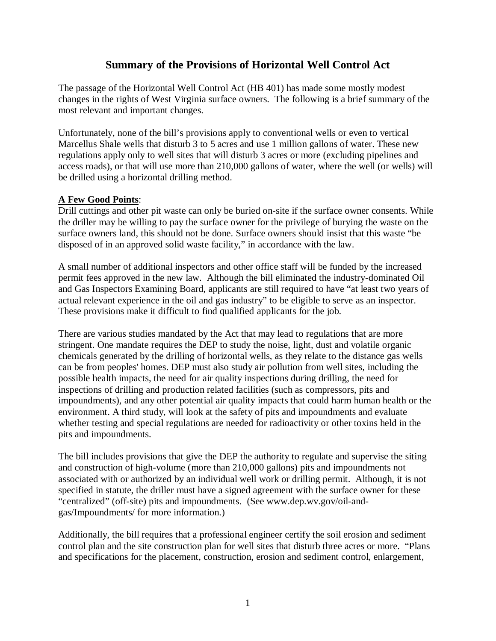# **Summary of the Provisions of Horizontal Well Control Act**

The passage of the Horizontal Well Control Act (HB 401) has made some mostly modest changes in the rights of West Virginia surface owners. The following is a brief summary of the most relevant and important changes.

Unfortunately, none of the bill's provisions apply to conventional wells or even to vertical Marcellus Shale wells that disturb 3 to 5 acres and use 1 million gallons of water. These new regulations apply only to well sites that will disturb 3 acres or more (excluding pipelines and access roads), or that will use more than 210,000 gallons of water, where the well (or wells) will be drilled using a horizontal drilling method.

# **A Few Good Points**:

Drill cuttings and other pit waste can only be buried on-site if the surface owner consents. While the driller may be willing to pay the surface owner for the privilege of burying the waste on the surface owners land, this should not be done. Surface owners should insist that this waste "be disposed of in an approved solid waste facility," in accordance with the law.

A small number of additional inspectors and other office staff will be funded by the increased permit fees approved in the new law. Although the bill eliminated the industry-dominated Oil and Gas Inspectors Examining Board, applicants are still required to have "at least two years of actual relevant experience in the oil and gas industry" to be eligible to serve as an inspector. These provisions make it difficult to find qualified applicants for the job.

There are various studies mandated by the Act that may lead to regulations that are more stringent. One mandate requires the DEP to study the noise, light, dust and volatile organic chemicals generated by the drilling of horizontal wells, as they relate to the distance gas wells can be from peoples' homes. DEP must also study air pollution from well sites, including the possible health impacts, the need for air quality inspections during drilling, the need for inspections of drilling and production related facilities (such as compressors, pits and impoundments), and any other potential air quality impacts that could harm human health or the environment. A third study, will look at the safety of pits and impoundments and evaluate whether testing and special regulations are needed for radioactivity or other toxins held in the pits and impoundments.

The bill includes provisions that give the DEP the authority to regulate and supervise the siting and construction of high-volume (more than 210,000 gallons) pits and impoundments not associated with or authorized by an individual well work or drilling permit. Although, it is not specified in statute, the driller must have a signed agreement with the surface owner for these "centralized" (off-site) pits and impoundments. (See www.dep.wv.gov/oil-andgas/Impoundments/ for more information.)

Additionally, the bill requires that a professional engineer certify the soil erosion and sediment control plan and the site construction plan for well sites that disturb three acres or more. "Plans and specifications for the placement, construction, erosion and sediment control, enlargement,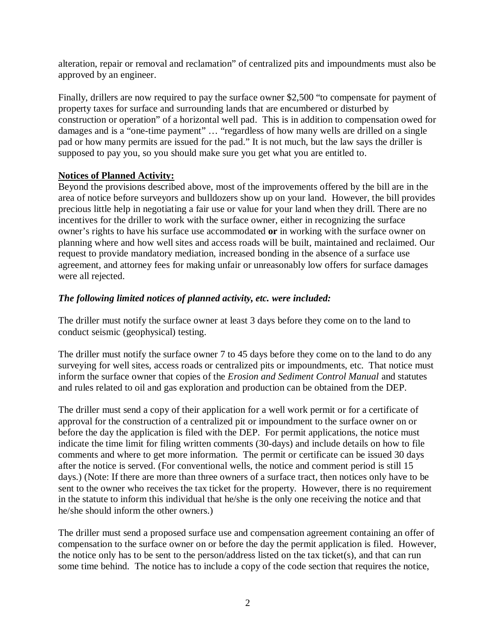alteration, repair or removal and reclamation" of centralized pits and impoundments must also be approved by an engineer.

Finally, drillers are now required to pay the surface owner \$2,500 "to compensate for payment of property taxes for surface and surrounding lands that are encumbered or disturbed by construction or operation" of a horizontal well pad. This is in addition to compensation owed for damages and is a "one-time payment" ... "regardless of how many wells are drilled on a single pad or how many permits are issued for the pad." It is not much, but the law says the driller is supposed to pay you, so you should make sure you get what you are entitled to.

#### **Notices of Planned Activity:**

Beyond the provisions described above, most of the improvements offered by the bill are in the area of notice before surveyors and bulldozers show up on your land. However, the bill provides precious little help in negotiating a fair use or value for your land when they drill. There are no incentives for the driller to work with the surface owner, either in recognizing the surface owner's rights to have his surface use accommodated **or** in working with the surface owner on planning where and how well sites and access roads will be built, maintained and reclaimed. Our request to provide mandatory mediation, increased bonding in the absence of a surface use agreement, and attorney fees for making unfair or unreasonably low offers for surface damages were all rejected.

### *The following limited notices of planned activity, etc. were included:*

The driller must notify the surface owner at least 3 days before they come on to the land to conduct seismic (geophysical) testing.

The driller must notify the surface owner 7 to 45 days before they come on to the land to do any surveying for well sites, access roads or centralized pits or impoundments, etc. That notice must inform the surface owner that copies of the *Erosion and Sediment Control Manual* and statutes and rules related to oil and gas exploration and production can be obtained from the DEP.

The driller must send a copy of their application for a well work permit or for a certificate of approval for the construction of a centralized pit or impoundment to the surface owner on or before the day the application is filed with the DEP. For permit applications, the notice must indicate the time limit for filing written comments (30-days) and include details on how to file comments and where to get more information. The permit or certificate can be issued 30 days after the notice is served. (For conventional wells, the notice and comment period is still 15 days.) (Note: If there are more than three owners of a surface tract, then notices only have to be sent to the owner who receives the tax ticket for the property. However, there is no requirement in the statute to inform this individual that he/she is the only one receiving the notice and that he/she should inform the other owners.)

The driller must send a proposed surface use and compensation agreement containing an offer of compensation to the surface owner on or before the day the permit application is filed. However, the notice only has to be sent to the person/address listed on the tax ticket(s), and that can run some time behind. The notice has to include a copy of the code section that requires the notice,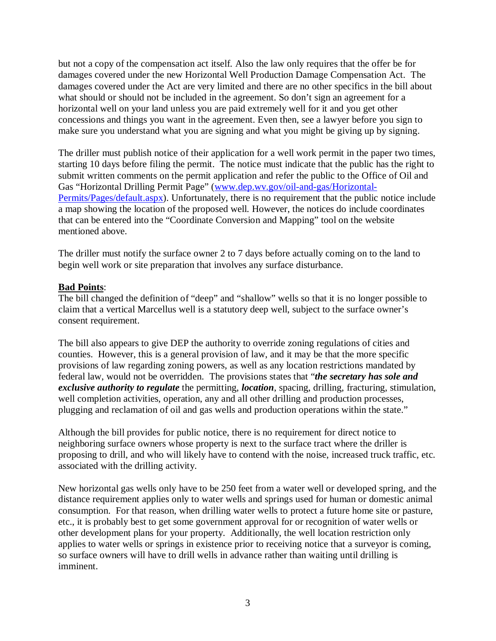but not a copy of the compensation act itself. Also the law only requires that the offer be for damages covered under the new Horizontal Well Production Damage Compensation Act. The damages covered under the Act are very limited and there are no other specifics in the bill about what should or should not be included in the agreement. So don't sign an agreement for a horizontal well on your land unless you are paid extremely well for it and you get other concessions and things you want in the agreement. Even then, see a lawyer before you sign to make sure you understand what you are signing and what you might be giving up by signing.

The driller must publish notice of their application for a well work permit in the paper two times, starting 10 days before filing the permit. The notice must indicate that the public has the right to submit written comments on the permit application and refer the public to the Office of Oil and Gas "Horizontal Drilling Permit Page" (www.dep.wv.gov/oil-and-gas/Horizontal-Permits/Pages/default.aspx). Unfortunately, there is no requirement that the public notice include a map showing the location of the proposed well. However, the notices do include coordinates that can be entered into the "Coordinate Conversion and Mapping" tool on the website mentioned above.

The driller must notify the surface owner 2 to 7 days before actually coming on to the land to begin well work or site preparation that involves any surface disturbance.

### **Bad Points**:

The bill changed the definition of "deep" and "shallow" wells so that it is no longer possible to claim that a vertical Marcellus well is a statutory deep well, subject to the surface owner's consent requirement.

The bill also appears to give DEP the authority to override zoning regulations of cities and counties. However, this is a general provision of law, and it may be that the more specific provisions of law regarding zoning powers, as well as any location restrictions mandated by federal law, would not be overridden. The provisions states that "*the secretary has sole and exclusive authority to regulate* the permitting, *location*, spacing, drilling, fracturing, stimulation, well completion activities, operation, any and all other drilling and production processes, plugging and reclamation of oil and gas wells and production operations within the state."

Although the bill provides for public notice, there is no requirement for direct notice to neighboring surface owners whose property is next to the surface tract where the driller is proposing to drill, and who will likely have to contend with the noise, increased truck traffic, etc. associated with the drilling activity.

New horizontal gas wells only have to be 250 feet from a water well or developed spring, and the distance requirement applies only to water wells and springs used for human or domestic animal consumption. For that reason, when drilling water wells to protect a future home site or pasture, etc., it is probably best to get some government approval for or recognition of water wells or other development plans for your property. Additionally, the well location restriction only applies to water wells or springs in existence prior to receiving notice that a surveyor is coming, so surface owners will have to drill wells in advance rather than waiting until drilling is imminent.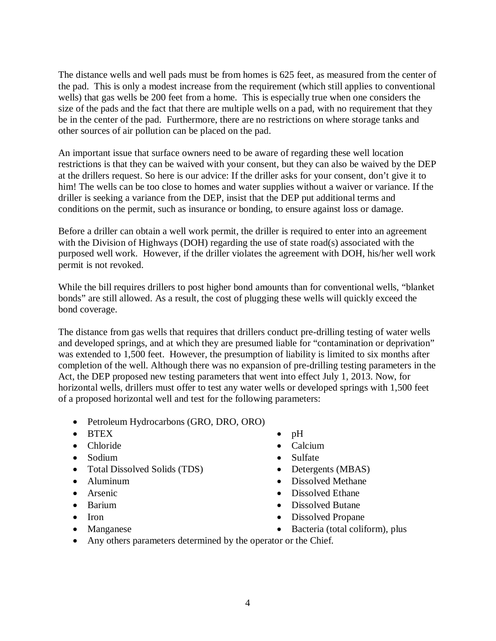The distance wells and well pads must be from homes is 625 feet, as measured from the center of the pad. This is only a modest increase from the requirement (which still applies to conventional wells) that gas wells be 200 feet from a home. This is especially true when one considers the size of the pads and the fact that there are multiple wells on a pad, with no requirement that they be in the center of the pad. Furthermore, there are no restrictions on where storage tanks and other sources of air pollution can be placed on the pad.

An important issue that surface owners need to be aware of regarding these well location restrictions is that they can be waived with your consent, but they can also be waived by the DEP at the drillers request. So here is our advice: If the driller asks for your consent, don't give it to him! The wells can be too close to homes and water supplies without a waiver or variance. If the driller is seeking a variance from the DEP, insist that the DEP put additional terms and conditions on the permit, such as insurance or bonding, to ensure against loss or damage.

Before a driller can obtain a well work permit, the driller is required to enter into an agreement with the Division of Highways (DOH) regarding the use of state road(s) associated with the purposed well work. However, if the driller violates the agreement with DOH, his/her well work permit is not revoked.

While the bill requires drillers to post higher bond amounts than for conventional wells, "blanket bonds" are still allowed. As a result, the cost of plugging these wells will quickly exceed the bond coverage.

The distance from gas wells that requires that drillers conduct pre-drilling testing of water wells and developed springs, and at which they are presumed liable for "contamination or deprivation" was extended to 1,500 feet. However, the presumption of liability is limited to six months after completion of the well. Although there was no expansion of pre-drilling testing parameters in the Act, the DEP proposed new testing parameters that went into effect July 1, 2013. Now, for horizontal wells, drillers must offer to test any water wells or developed springs with 1,500 feet of a proposed horizontal well and test for the following parameters:

- Petroleum Hydrocarbons (GRO, DRO, ORO)
- BTEX
- Chloride
- Sodium
- Total Dissolved Solids (TDS)
- Aluminum
- Arsenic
- Barium
- Iron
- Manganese
- $\bullet$  pH
- Calcium
- Sulfate
- Detergents (MBAS)
- Dissolved Methane
- Dissolved Ethane
- Dissolved Butane
- Dissolved Propane
- Bacteria (total coliform), plus
- Any others parameters determined by the operator or the Chief.